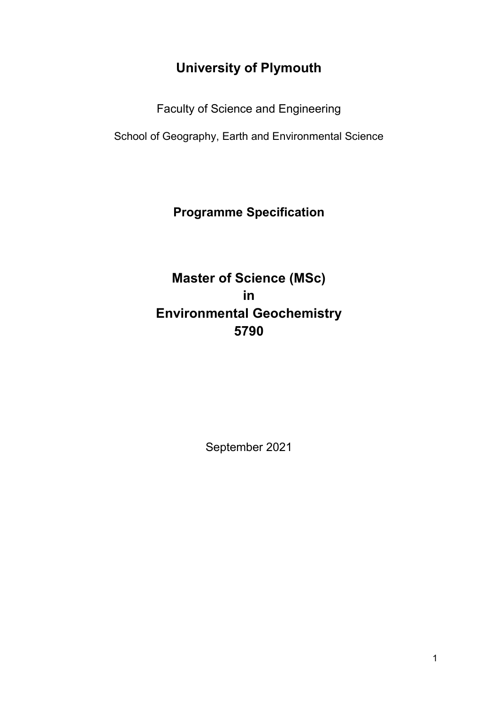# **University of Plymouth**

Faculty of Science and Engineering

School of Geography, Earth and Environmental Science

## **Programme Specification**

# **Master of Science (MSc) in Environmental Geochemistry 5790**

September 2021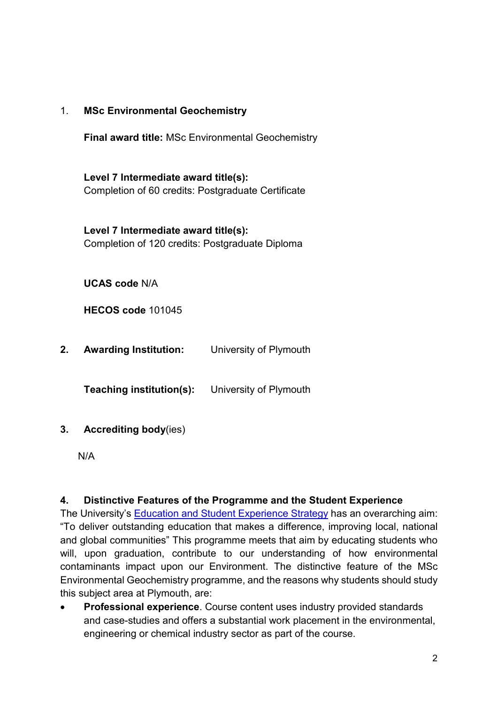#### 1. **MSc Environmental Geochemistry**

**Final award title:** MSc Environmental Geochemistry

**Level 7 Intermediate award title(s):** Completion of 60 credits: Postgraduate Certificate

**Level 7 Intermediate award title(s):** Completion of 120 credits: Postgraduate Diploma

**UCAS code** N/A

**HECOS code** 101045

**2. Awarding Institution:** University of Plymouth

**Teaching institution(s):** University of Plymouth

#### **3. Accrediting body**(ies)

N/A

#### **4. Distinctive Features of the Programme and the Student Experience**

The University's [Education and Student Experience Strategy](https://www.plymouth.ac.uk/about-us/university-strategy/education-and-student-experience-strategy) has an overarching aim: "To deliver outstanding education that makes a difference, improving local, national and global communities" This programme meets that aim by educating students who will, upon graduation, contribute to our understanding of how environmental contaminants impact upon our Environment. The distinctive feature of the MSc Environmental Geochemistry programme, and the reasons why students should study this subject area at Plymouth, are:

• **Professional experience**. Course content uses industry provided standards and case-studies and offers a substantial work placement in the environmental, engineering or chemical industry sector as part of the course.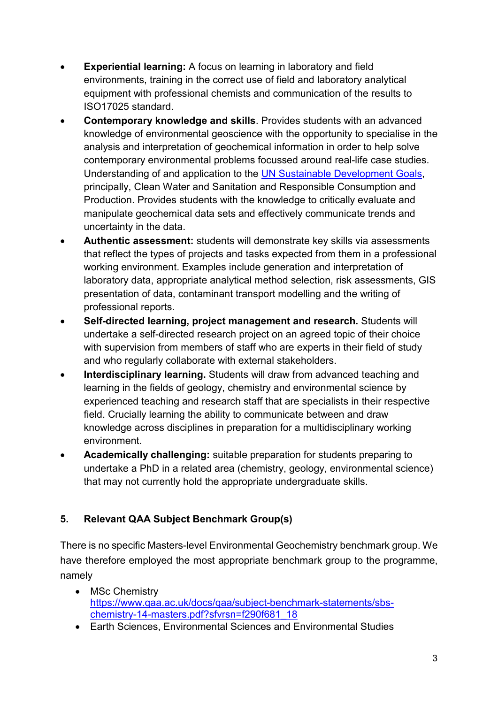- **Experiential learning:** A focus on learning in laboratory and field environments, training in the correct use of field and laboratory analytical equipment with professional chemists and communication of the results to ISO17025 standard.
- **Contemporary knowledge and skills**. Provides students with an advanced knowledge of environmental geoscience with the opportunity to specialise in the analysis and interpretation of geochemical information in order to help solve contemporary environmental problems focussed around real-life case studies. Understanding of and application to the [UN Sustainable Development Goals,](https://www.un.org/sustainabledevelopment/blog/2015/12/sustainable-development-goals-kick-off-with-start-of-new-year/) principally, Clean Water and Sanitation and Responsible Consumption and Production. Provides students with the knowledge to critically evaluate and manipulate geochemical data sets and effectively communicate trends and uncertainty in the data.
- **Authentic assessment:** students will demonstrate key skills via assessments that reflect the types of projects and tasks expected from them in a professional working environment. Examples include generation and interpretation of laboratory data, appropriate analytical method selection, risk assessments, GIS presentation of data, contaminant transport modelling and the writing of professional reports.
- **Self-directed learning, project management and research.** Students will undertake a self-directed research project on an agreed topic of their choice with supervision from members of staff who are experts in their field of study and who regularly collaborate with external stakeholders.
- **Interdisciplinary learning.** Students will draw from advanced teaching and learning in the fields of geology, chemistry and environmental science by experienced teaching and research staff that are specialists in their respective field. Crucially learning the ability to communicate between and draw knowledge across disciplines in preparation for a multidisciplinary working environment.
- **Academically challenging:** suitable preparation for students preparing to undertake a PhD in a related area (chemistry, geology, environmental science) that may not currently hold the appropriate undergraduate skills.

## **5. Relevant QAA Subject Benchmark Group(s)**

There is no specific Masters-level Environmental Geochemistry benchmark group. We have therefore employed the most appropriate benchmark group to the programme, namely

- MSc Chemistry [https://www.qaa.ac.uk/docs/qaa/subject-benchmark-statements/sbs](https://www.qaa.ac.uk/docs/qaa/subject-benchmark-statements/sbs-chemistry-14-masters.pdf?sfvrsn=f290f681_18)[chemistry-14-masters.pdf?sfvrsn=f290f681\\_18](https://www.qaa.ac.uk/docs/qaa/subject-benchmark-statements/sbs-chemistry-14-masters.pdf?sfvrsn=f290f681_18)
- Earth Sciences, Environmental Sciences and Environmental Studies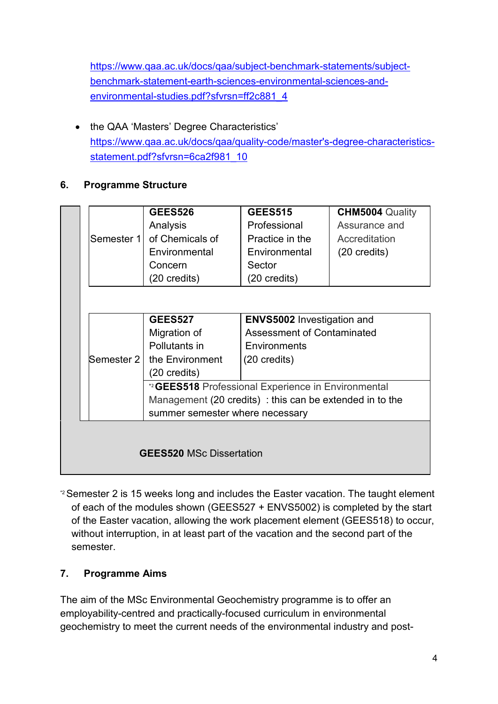[https://www.qaa.ac.uk/docs/qaa/subject-benchmark-statements/subject](https://www.qaa.ac.uk/docs/qaa/subject-benchmark-statements/subject-benchmark-statement-earth-sciences-environmental-sciences-and-environmental-studies.pdf?sfvrsn=ff2c881_4)[benchmark-statement-earth-sciences-environmental-sciences-and](https://www.qaa.ac.uk/docs/qaa/subject-benchmark-statements/subject-benchmark-statement-earth-sciences-environmental-sciences-and-environmental-studies.pdf?sfvrsn=ff2c881_4)[environmental-studies.pdf?sfvrsn=ff2c881\\_4](https://www.qaa.ac.uk/docs/qaa/subject-benchmark-statements/subject-benchmark-statement-earth-sciences-environmental-sciences-and-environmental-studies.pdf?sfvrsn=ff2c881_4)

• the QAA 'Masters' Degree Characteristics' [https://www.qaa.ac.uk/docs/qaa/quality-code/master's-degree-characteristics](https://www.qaa.ac.uk/docs/qaa/quality-code/master)[statement.pdf?sfvrsn=6ca2f981\\_10](https://www.qaa.ac.uk/docs/qaa/quality-code/master)

### **6. Programme Structure**

|                                 | <b>GEES526</b>                                           | <b>GEES515</b>         | <b>CHM5004 Quality</b> |  |  |  |  |  |  |  |  |
|---------------------------------|----------------------------------------------------------|------------------------|------------------------|--|--|--|--|--|--|--|--|
|                                 | Analysis                                                 | Professional           | Assurance and          |  |  |  |  |  |  |  |  |
| Semester 1                      | of Chemicals of                                          | Practice in the        | Accreditation          |  |  |  |  |  |  |  |  |
|                                 | Environmental                                            | Environmental          | $(20 \text{ credits})$ |  |  |  |  |  |  |  |  |
|                                 | Concern                                                  | Sector                 |                        |  |  |  |  |  |  |  |  |
|                                 | $(20 \text{ credits})$                                   | $(20 \text{ credits})$ |                        |  |  |  |  |  |  |  |  |
|                                 |                                                          |                        |                        |  |  |  |  |  |  |  |  |
|                                 |                                                          |                        |                        |  |  |  |  |  |  |  |  |
|                                 | <b>ENVS5002 Investigation and</b><br><b>GEES527</b>      |                        |                        |  |  |  |  |  |  |  |  |
|                                 | <b>Assessment of Contaminated</b><br>Migration of        |                        |                        |  |  |  |  |  |  |  |  |
|                                 | Pollutants in                                            |                        |                        |  |  |  |  |  |  |  |  |
| Semester 2                      | the Environment                                          | $(20 \text{ credits})$ |                        |  |  |  |  |  |  |  |  |
|                                 | $(20 \text{ credits})$                                   |                        |                        |  |  |  |  |  |  |  |  |
|                                 | *2 GEES518 Professional Experience in Environmental      |                        |                        |  |  |  |  |  |  |  |  |
|                                 | Management (20 credits) : this can be extended in to the |                        |                        |  |  |  |  |  |  |  |  |
|                                 | summer semester where necessary                          |                        |                        |  |  |  |  |  |  |  |  |
|                                 |                                                          |                        |                        |  |  |  |  |  |  |  |  |
|                                 |                                                          |                        |                        |  |  |  |  |  |  |  |  |
| <b>GEES520 MSc Dissertation</b> |                                                          |                        |                        |  |  |  |  |  |  |  |  |
|                                 |                                                          |                        |                        |  |  |  |  |  |  |  |  |

\*2Semester 2 is 15 weeks long and includes the Easter vacation. The taught element of each of the modules shown (GEES527 + ENVS5002) is completed by the start of the Easter vacation, allowing the work placement element (GEES518) to occur, without interruption, in at least part of the vacation and the second part of the semester.

## **7. Programme Aims**

The aim of the MSc Environmental Geochemistry programme is to offer an employability-centred and practically-focused curriculum in environmental geochemistry to meet the current needs of the environmental industry and post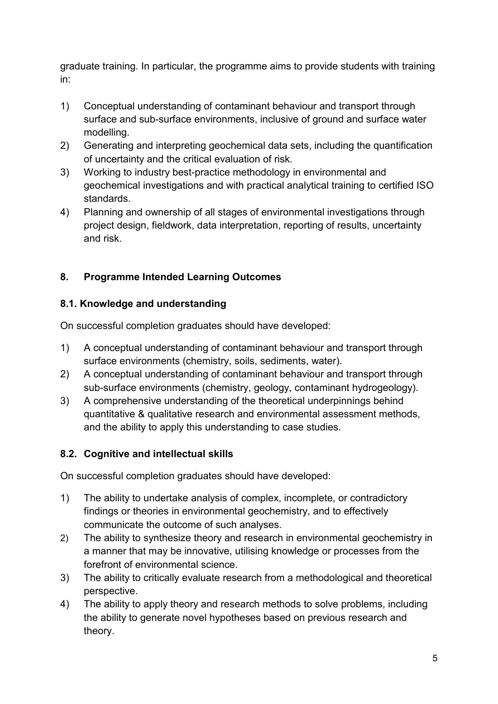graduate training. In particular, the programme aims to provide students with training in:

- 1) Conceptual understanding of contaminant behaviour and transport through surface and sub-surface environments, inclusive of ground and surface water modelling.
- 2) Generating and interpreting geochemical data sets, including the quantification of uncertainty and the critical evaluation of risk.
- 3) Working to industry best-practice methodology in environmental and geochemical investigations and with practical analytical training to certified ISO standards.
- 4) Planning and ownership of all stages of environmental investigations through project design, fieldwork, data interpretation, reporting of results, uncertainty and risk.

### **8. Programme Intended Learning Outcomes**

#### **8.1. Knowledge and understanding**

On successful completion graduates should have developed:

- 1) A conceptual understanding of contaminant behaviour and transport through surface environments (chemistry, soils, sediments, water).
- 2) A conceptual understanding of contaminant behaviour and transport through sub-surface environments (chemistry, geology, contaminant hydrogeology).
- 3) A comprehensive understanding of the theoretical underpinnings behind quantitative & qualitative research and environmental assessment methods, and the ability to apply this understanding to case studies.

#### **8.2. Cognitive and intellectual skills**

On successful completion graduates should have developed:

- 1) The ability to undertake analysis of complex, incomplete, or contradictory findings or theories in environmental geochemistry, and to effectively communicate the outcome of such analyses.
- 2) The ability to synthesize theory and research in environmental geochemistry in a manner that may be innovative, utilising knowledge or processes from the forefront of environmental science.
- 3) The ability to critically evaluate research from a methodological and theoretical perspective.
- 4) The ability to apply theory and research methods to solve problems, including the ability to generate novel hypotheses based on previous research and theory.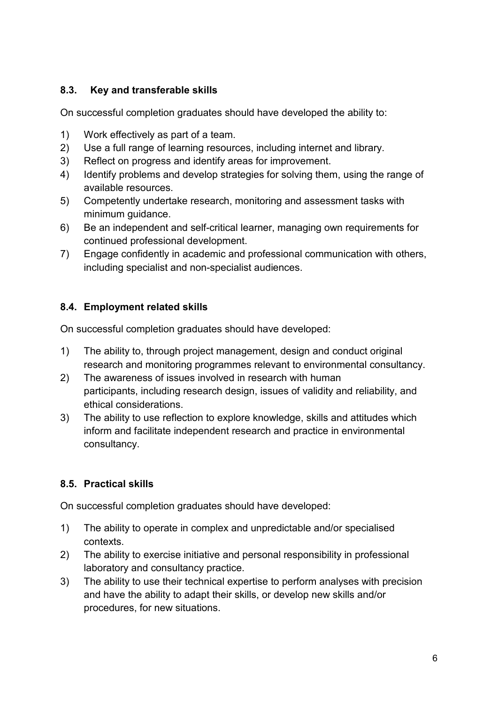#### **8.3. Key and transferable skills**

On successful completion graduates should have developed the ability to:

- 1) Work effectively as part of a team.
- 2) Use a full range of learning resources, including internet and library.
- 3) Reflect on progress and identify areas for improvement.
- 4) Identify problems and develop strategies for solving them, using the range of available resources.
- 5) Competently undertake research, monitoring and assessment tasks with minimum guidance.
- 6) Be an independent and self-critical learner, managing own requirements for continued professional development.
- 7) Engage confidently in academic and professional communication with others, including specialist and non-specialist audiences.

#### **8.4. Employment related skills**

On successful completion graduates should have developed:

- 1) The ability to, through project management, design and conduct original research and monitoring programmes relevant to environmental consultancy.
- 2) The awareness of issues involved in research with human participants, including research design, issues of validity and reliability, and ethical considerations.
- 3) The ability to use reflection to explore knowledge, skills and attitudes which inform and facilitate independent research and practice in environmental consultancy.

#### **8.5. Practical skills**

On successful completion graduates should have developed:

- 1) The ability to operate in complex and unpredictable and/or specialised contexts.
- 2) The ability to exercise initiative and personal responsibility in professional laboratory and consultancy practice.
- 3) The ability to use their technical expertise to perform analyses with precision and have the ability to adapt their skills, or develop new skills and/or procedures, for new situations.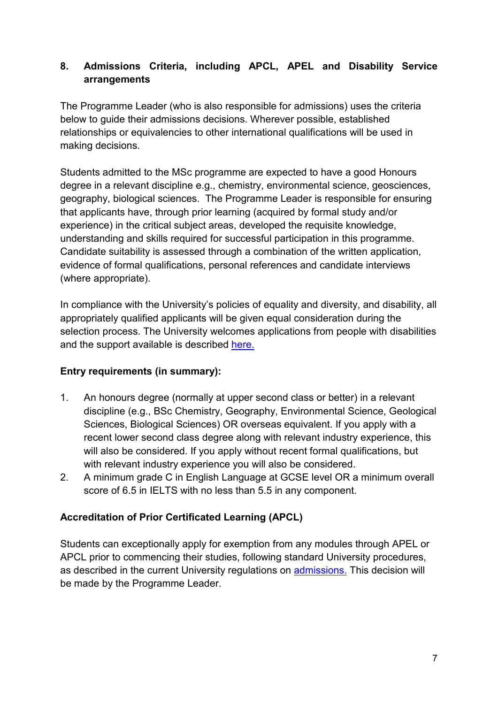#### **8. Admissions Criteria, including APCL, APEL and Disability Service arrangements**

The Programme Leader (who is also responsible for admissions) uses the criteria below to guide their admissions decisions. Wherever possible, established relationships or equivalencies to other international qualifications will be used in making decisions.

Students admitted to the MSc programme are expected to have a good Honours degree in a relevant discipline e.g., chemistry, environmental science, geosciences, geography, biological sciences. The Programme Leader is responsible for ensuring that applicants have, through prior learning (acquired by formal study and/or experience) in the critical subject areas, developed the requisite knowledge, understanding and skills required for successful participation in this programme. Candidate suitability is assessed through a combination of the written application, evidence of formal qualifications, personal references and candidate interviews (where appropriate).

In compliance with the University's policies of equality and diversity, and disability, all appropriately qualified applicants will be given equal consideration during the selection process. The University welcomes applications from people with disabilities and the support available is described [here.](https://www.plymouth.ac.uk/student-life/services/learning-gateway/disability-and-dyslexia)

#### **Entry requirements (in summary):**

- 1. An honours degree (normally at upper second class or better) in a relevant discipline (e.g., BSc Chemistry, Geography, Environmental Science, Geological Sciences, Biological Sciences) OR overseas equivalent. If you apply with a recent lower second class degree along with relevant industry experience, this will also be considered. If you apply without recent formal qualifications, but with relevant industry experience you will also be considered.
- 2. A minimum grade C in English Language at GCSE level OR a minimum overall score of 6.5 in IELTS with no less than 5.5 in any component.

#### **Accreditation of Prior Certificated Learning (APCL)**

Students can exceptionally apply for exemption from any modules through APEL or APCL prior to commencing their studies, following standard University procedures, as described in the current University regulations on [admissions.](https://www.plymouth.ac.uk/student-life/your-studies/essential-information/regulations) This decision will be made by the Programme Leader.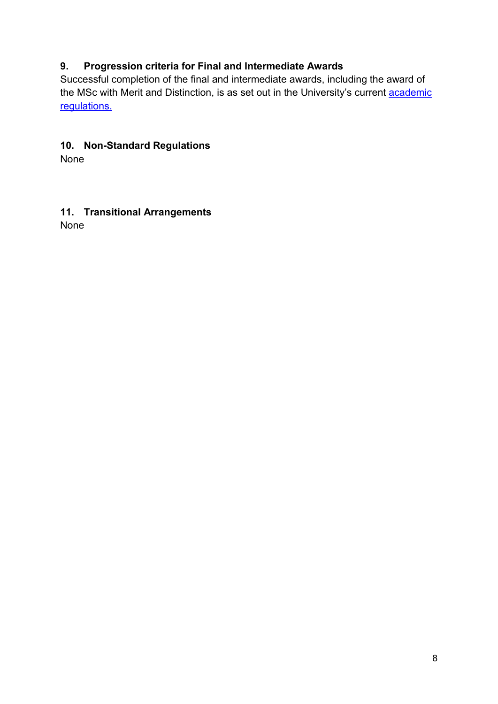### **9. Progression criteria for Final and Intermediate Awards**

Successful completion of the final and intermediate awards, including the award of the MSc with Merit and Distinction, is as set out in the University's current **academic** [regulations.](https://www.plymouth.ac.uk/student-life/your-studies/essential-information/regulations)

#### **10. Non-Standard Regulations**

None

#### **11. Transitional Arrangements** None